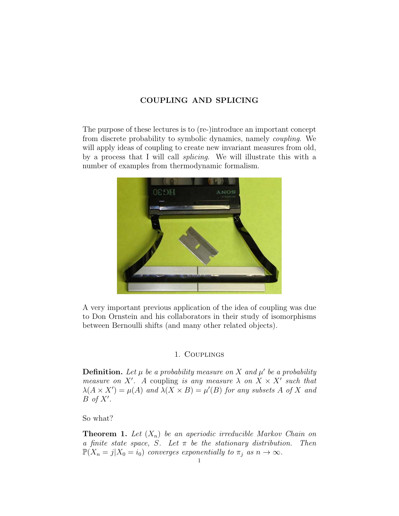# COUPLING AND SPLICING

The purpose of these lectures is to (re-)introduce an important concept from discrete probability to symbolic dynamics, namely coupling. We will apply ideas of coupling to create new invariant measures from old, by a process that I will call splicing. We will illustrate this with a number of examples from thermodynamic formalism.



A very important previous application of the idea of coupling was due to Don Ornstein and his collaborators in their study of isomorphisms between Bernoulli shifts (and many other related objects).

## 1. Couplings

**Definition.** Let  $\mu$  be a probability measure on X and  $\mu'$  be a probability measure on X'. A coupling is any measure  $\lambda$  on  $X \times X'$  such that  $\lambda(A \times X') = \mu(A)$  and  $\lambda(X \times B) = \mu'(B)$  for any subsets A of X and  $B \text{ of } X'.$ 

So what?

**Theorem 1.** Let  $(X_n)$  be an aperiodic irreducible Markov Chain on a finite state space, S. Let  $\pi$  be the stationary distribution. Then  $\mathbb{P}(X_n = j | X_0 = i_0)$  converges exponentially to  $\pi_j$  as  $n \to \infty$ .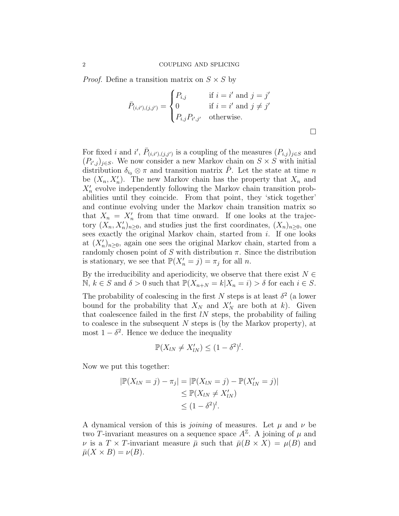*Proof.* Define a transition matrix on  $S \times S$  by

$$
\bar{P}_{(i,i'),(j,j')} = \begin{cases}\nP_{i,j} & \text{if } i = i' \text{ and } j = j' \\
0 & \text{if } i = i' \text{ and } j \neq j' \\
P_{i,j}P_{i',j'} & \text{otherwise.}\n\end{cases}
$$

For fixed i and i',  $\bar{P}_{(i,i'),(j,j')}$  is a coupling of the measures  $(P_{i,j})_{j\in S}$  and  $(P_{i',j})_{j\in S}$ . We now consider a new Markov chain on  $S\times S$  with initial distribution  $\delta_{i_0} \otimes \pi$  and transition matrix P. Let the state at time n be  $(X_n, X'_n)$ . The new Markov chain has the property that  $X_n$  and  $X_n'$  evolve independently following the Markov chain transition probabilities until they coincide. From that point, they 'stick together' and continue evolving under the Markov chain transition matrix so that  $X_n = X'_n$  from that time onward. If one looks at the trajectory  $(X_n, X'_n)_{n\geq 0}$ , and studies just the first coordinates,  $(X_n)_{n\geq 0}$ , one sees exactly the original Markov chain, started from i. If one looks at  $(X'_n)_{n\geq 0}$ , again one sees the original Markov chain, started from a randomly chosen point of S with distribution  $\pi$ . Since the distribution is stationary, we see that  $\mathbb{P}(X'_n = j) = \pi_j$  for all n.

By the irreducibility and aperiodicity, we observe that there exist  $N \in$  $\mathbb{N}, k \in S$  and  $\delta > 0$  such that  $\mathbb{P}(X_{n+N} = k | X_n = i) > \delta$  for each  $i \in S$ .

The probability of coalescing in the first N steps is at least  $\delta^2$  (a lower bound for the probability that  $X_N$  and  $X'_N$  are both at k). Given that coalescence failed in the first  $lN$  steps, the probability of failing to coalesce in the subsequent  $N$  steps is (by the Markov property), at most  $1 - \delta^2$ . Hence we deduce the inequality

$$
\mathbb{P}(X_{lN} \neq X'_{lN}) \leq (1 - \delta^2)^l.
$$

Now we put this together:

$$
|\mathbb{P}(X_{lN} = j) - \pi_j| = |\mathbb{P}(X_{lN} = j) - \mathbb{P}(X'_{lN} = j)|
$$
  
\n
$$
\leq \mathbb{P}(X_{lN} \neq X'_{lN})
$$
  
\n
$$
\leq (1 - \delta^2)^l.
$$

A dynamical version of this is *joining* of measures. Let  $\mu$  and  $\nu$  be two T-invariant measures on a sequence space  $A^{\mathbb{Z}}$ . A joining of  $\mu$  and v is a  $T \times T$ -invariant measure  $\bar{\mu}$  such that  $\bar{\mu}(B \times X) = \mu(B)$  and  $\bar{\mu}(X \times B) = \nu(B).$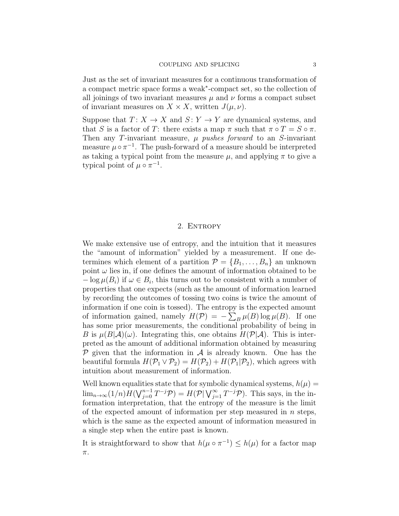Just as the set of invariant measures for a continuous transformation of a compact metric space forms a weak<sup>∗</sup> -compact set, so the collection of all joinings of two invariant measures  $\mu$  and  $\nu$  forms a compact subset of invariant measures on  $X \times X$ , written  $J(\mu, \nu)$ .

Suppose that  $T: X \to X$  and  $S: Y \to Y$  are dynamical systems, and that S is a factor of T: there exists a map  $\pi$  such that  $\pi \circ T = S \circ \pi$ . Then any T-invariant measure,  $\mu$  pushes forward to an S-invariant measure  $\mu \circ \pi^{-1}$ . The push-forward of a measure should be interpreted as taking a typical point from the measure  $\mu$ , and applying  $\pi$  to give a typical point of  $\mu \circ \pi^{-1}$ .

### 2. ENTROPY

We make extensive use of entropy, and the intuition that it measures the "amount of information" yielded by a measurement. If one determines which element of a partition  $\mathcal{P} = \{B_1, \ldots, B_n\}$  an unknown point  $\omega$  lies in, if one defines the amount of information obtained to be  $-\log \mu(B_i)$  if  $\omega \in B_i$ , this turns out to be consistent with a number of properties that one expects (such as the amount of information learned by recording the outcomes of tossing two coins is twice the amount of information if one coin is tossed). The entropy is the expected amount of information gained, namely  $H(\mathcal{P}) = -\sum_{B} \mu(B) \log \mu(B)$ . If one has some prior measurements, the conditional probability of being in B is  $\mu(B|\mathcal{A})(\omega)$ . Integrating this, one obtains  $H(\mathcal{P}|\mathcal{A})$ . This is interpreted as the amount of additional information obtained by measuring  $P$  given that the information in  $A$  is already known. One has the beautiful formula  $H(\mathcal{P}_1 \vee \mathcal{P}_2) = H(\mathcal{P}_2) + H(\mathcal{P}_1 | \mathcal{P}_2)$ , which agrees with intuition about measurement of information.

Well known equalities state that for symbolic dynamical systems,  $h(\mu)$  =  $\lim_{n\to\infty}(1/n)H(\bigvee_{j=0}^{n-1}T^{-j}\mathcal{P})=H(\mathcal{P}|\bigvee_{j=1}^{\infty}T^{-j}\mathcal{P}).$  This says, in the information interpretation, that the entropy of the measure is the limit of the expected amount of information per step measured in  $n$  steps, which is the same as the expected amount of information measured in a single step when the entire past is known.

It is straightforward to show that  $h(\mu \circ \pi^{-1}) \leq h(\mu)$  for a factor map π.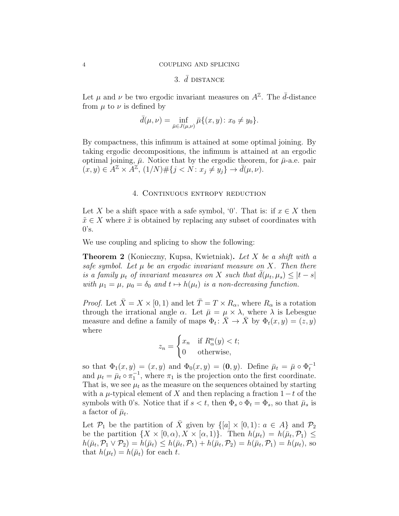#### 4 COUPLING AND SPLICING

## 3.  $\bar{d}$  distance

Let  $\mu$  and  $\nu$  be two ergodic invariant measures on  $A^{\mathbb{Z}}$ . The  $\bar{d}$ -distance from  $\mu$  to  $\nu$  is defined by

$$
\bar{d}(\mu, \nu) = \inf_{\bar{\mu} \in J(\mu, \nu)} \bar{\mu} \{ (x, y) \colon x_0 \neq y_0 \}.
$$

By compactness, this infimum is attained at some optimal joining. By taking ergodic decompositions, the infimum is attained at an ergodic optimal joining,  $\bar{\mu}$ . Notice that by the ergodic theorem, for  $\bar{\mu}$ -a.e. pair  $(x, y) \in A^{\mathbb{Z}} \times \overline{A^{\mathbb{Z}}}, (1/N) \# \{j < N : x_j \neq y_j\} \to \overline{d}(\mu, \nu).$ 

## 4. CONTINUOUS ENTROPY REDUCTION

Let X be a shift space with a safe symbol, '0'. That is: if  $x \in X$  then  $\tilde{x} \in X$  where  $\tilde{x}$  is obtained by replacing any subset of coordinates with  $0's.$ 

We use coupling and splicing to show the following:

Theorem 2 (Konieczny, Kupsa, Kwietniak). Let X be a shift with a safe symbol. Let  $\mu$  be an ergodic invariant measure on X. Then there is a family  $\mu_t$  of invariant measures on X such that  $\bar{d}(\mu_t, \mu_s) \leq |t - s|$ with  $\mu_1 = \mu$ ,  $\mu_0 = \delta_0$  and  $t \mapsto h(\mu_t)$  is a non-decreasing function.

*Proof.* Let  $\bar{X} = X \times [0, 1)$  and let  $\bar{T} = T \times R_{\alpha}$ , where  $R_{\alpha}$  is a rotation through the irrational angle  $\alpha$ . Let  $\bar{\mu} = \mu \times \lambda$ , where  $\lambda$  is Lebesgue measure and define a family of maps  $\Phi_t: \overline{X} \to \overline{X}$  by  $\Phi_t(x, y) = (z, y)$ where

$$
z_n = \begin{cases} x_n & \text{if } R^n_\alpha(y) < t; \\ 0 & \text{otherwise,} \end{cases}
$$

so that  $\Phi_1(x, y) = (x, y)$  and  $\Phi_0(x, y) = (0, y)$ . Define  $\bar{\mu}_t = \bar{\mu} \circ \Phi_t^{-1}$ and  $\mu_t = \bar{\mu}_t \circ \pi_1^{-1}$ , where  $\pi_1$  is the projection onto the first coordinate. That is, we see  $\mu_t$  as the measure on the sequences obtained by starting with a  $\mu$ -typical element of X and then replacing a fraction 1 – t of the symbols with 0's. Notice that if  $s < t$ , then  $\Phi_s \circ \Phi_t = \Phi_s$ , so that  $\bar{\mu}_s$  is a factor of  $\bar{\mu}_t$ .

Let  $\mathcal{P}_1$  be the partition of X given by  $\{[a] \times [0, 1): a \in A\}$  and  $\mathcal{P}_2$ be the partition  $\{X \times [0, \alpha), X \times [\alpha, 1]\}\$ . Then  $h(\mu_t) = h(\bar{\mu}_t, \mathcal{P}_1) \le$  $h(\bar{\mu}_t, \mathcal{P}_1 \vee \mathcal{P}_2) = h(\bar{\mu}_t) \leq h(\bar{\mu}_t, \mathcal{P}_1) + h(\bar{\mu}_t, \mathcal{P}_2) = h(\bar{\mu}_t, \mathcal{P}_1) = h(\mu_t)$ , so that  $h(\mu_t) = h(\bar{\mu}_t)$  for each t.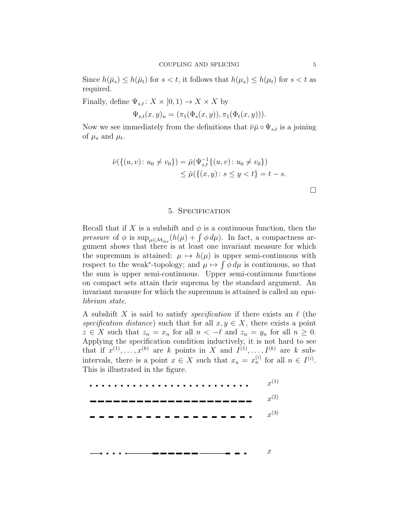Since  $h(\bar{\mu}_s) \leq h(\bar{\mu}_t)$  for  $s < t$ , it follows that  $h(\mu_s) \leq h(\mu_t)$  for  $s < t$  as required.

Finally, define  $\Psi_{s,t}$ :  $X \times [0,1) \rightarrow X \times X$  by

$$
\Psi_{s,t}(x,y)_n = (\pi_1(\Phi_s(x,y)), \pi_1(\Phi_t(x,y))).
$$

Now we see immediately from the definitions that  $\bar{\nu}\bar{\mu} \circ \Psi_{s,t}$  is a joining of  $\mu_s$  and  $\mu_t$ .

$$
\bar{\nu}(\{(u, v) : u_0 \neq v_0\}) = \bar{\mu}(\Psi_{s,t}^{-1}\{(u, v) : u_0 \neq v_0\})
$$
  
\n
$$
\leq \bar{\mu}(\{(x, y) : s \leq y < t\}) = t - s.
$$

#### 5. Specification

Recall that if X is a subshift and  $\phi$  is a continuous function, then the pressure of  $\phi$  is  $\sup_{\mu \in \mathcal{M}_{inv}} (h(\mu) + \int \phi \, d\mu)$ . In fact, a compactness argument shows that there is at least one invariant measure for which the supremum is attained:  $\mu \mapsto h(\mu)$  is upper semi-continuous with respect to the weak<sup>\*</sup>-topology; and  $\mu \mapsto \int \phi \, d\mu$  is continuous, so that the sum is upper semi-continuous. Upper semi-continuous functions on compact sets attain their suprema by the standard argument. An invariant measure for which the supremum is attained is called an *equi*librium state.

A subshift X is said to satisfy *specification* if there exists an  $\ell$  (the specification distance) such that for all  $x, y \in X$ , there exists a point  $z \in X$  such that  $z_n = x_n$  for all  $n < -\ell$  and  $z_n = y_n$  for all  $n \geq 0$ . Applying the specification condition inductively, it is not hard to see that if  $x^{(1)}, \ldots, x^{(k)}$  are k points in X and  $I^{(1)}, \ldots, I^{(k)}$  are k subintervals, there is a point  $x \in X$  such that  $x_n = x_n^{(i)}$  for all  $n \in I^{(i)}$ . This is illustrated in the figure.

$$
\dots\dots\dots\dots\dots\dots\dots\dots\dots\dots\vdots x^{(1)}
$$

$$
\qquad \qquad \overbrace{\qquad \qquad }=\qquad \qquad }=\qquad \qquad x^{(2)}
$$

x (3)

 $\boldsymbol{x}$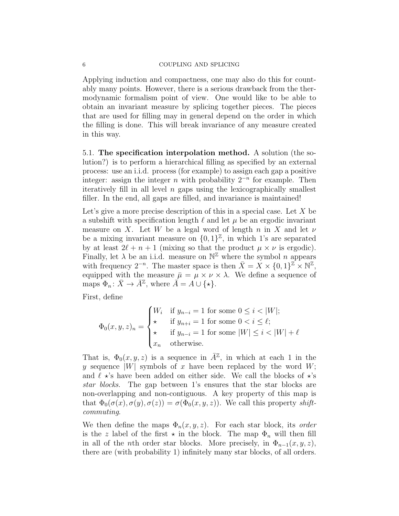Applying induction and compactness, one may also do this for countably many points. However, there is a serious drawback from the thermodynamic formalism point of view. One would like to be able to obtain an invariant measure by splicing together pieces. The pieces that are used for filling may in general depend on the order in which the filling is done. This will break invariance of any measure created in this way.

5.1. The specification interpolation method. A solution (the solution?) is to perform a hierarchical filling as specified by an external process: use an i.i.d. process (for example) to assign each gap a positive integer: assign the integer *n* with probability  $2^{-n}$  for example. Then iteratively fill in all level  $n$  gaps using the lexicographically smallest filler. In the end, all gaps are filled, and invariance is maintained!

Let's give a more precise description of this in a special case. Let  $X$  be a subshift with specification length  $\ell$  and let  $\mu$  be an ergodic invariant measure on X. Let W be a legal word of length n in X and let  $\nu$ be a mixing invariant measure on  $\{0,1\}^{\mathbb{Z}}$ , in which 1's are separated by at least  $2\ell + n + 1$  (mixing so that the product  $\mu \times \nu$  is ergodic). Finally, let  $\lambda$  be an i.i.d. measure on  $\mathbb{N}^{\mathbb{Z}}$  where the symbol *n* appears with frequency  $2^{-n}$ . The master space is then  $\bar{X} = X \times \{0,1\}^{\mathbb{Z}} \times \mathbb{N}^{\mathbb{Z}}$ , equipped with the measure  $\bar{\mu} = \mu \times \nu \times \lambda$ . We define a sequence of maps  $\Phi_n: \bar{X} \to \bar{A}^{\mathbb{Z}}$ , where  $\bar{A} = A \cup \{\star\}.$ 

First, define

$$
\Phi_0(x, y, z)_n = \begin{cases}\nW_i & \text{if } y_{n-i} = 1 \text{ for some } 0 \le i < |W|; \\
\star & \text{if } y_{n+i} = 1 \text{ for some } 0 < i \le \ell; \\
\star & \text{if } y_{n-i} = 1 \text{ for some } |W| \le i < |W| + \ell \\
x_n & \text{otherwise.}\n\end{cases}
$$

That is,  $\Phi_0(x, y, z)$  is a sequence in  $\overline{A}^{\mathbb{Z}}$ , in which at each 1 in the y sequence  $|W|$  symbols of x have been replaced by the word W; and  $\ell \star$ 's have been added on either side. We call the blocks of  $\star$ 's star blocks. The gap between 1's ensures that the star blocks are non-overlapping and non-contiguous. A key property of this map is that  $\Phi_0(\sigma(x), \sigma(y), \sigma(z)) = \sigma(\Phi_0(x, y, z))$ . We call this property shiftcommuting.

We then define the maps  $\Phi_n(x, y, z)$ . For each star block, its order is the z label of the first  $\star$  in the block. The map  $\Phi_n$  will then fill in all of the *n*th order star blocks. More precisely, in  $\Phi_{n-1}(x, y, z)$ , there are (with probability 1) infinitely many star blocks, of all orders.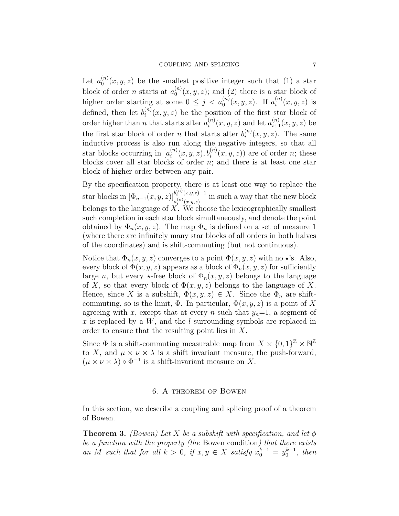Let  $a_0^{(n)}$  $\binom{n}{0}(x, y, z)$  be the smallest positive integer such that (1) a star block of order *n* starts at  $a_0^{(n)}$  $\binom{n}{0}(x, y, z)$ ; and (2) there is a star block of higher order starting at some  $0 \leq j < a_0^{(n)}(x, y, z)$ . If  $a_i^{(n)}$  $i^{(n)}(x, y, z)$  is defined, then let  $b_i^{(n)}$  $i^{(n)}(x, y, z)$  be the position of the first star block of order higher than n that starts after  $a_i^{(n)}$  $i_n^{(n)}(x, y, z)$  and let  $a_{i+1}^{(n)}(x, y, z)$  be the first star block of order *n* that starts after  $b_i^{(n)}$  $i^{(n)}(x, y, z)$ . The same inductive process is also run along the negative integers, so that all star blocks occurring in  $[a_i^{(n)}]$  $i^{(n)}(x, y, z), b_i^{(n)}(x, y, z)$  are of order *n*; these blocks cover all star blocks of order  $n$ ; and there is at least one star block of higher order between any pair.

By the specification property, there is at least one way to replace the star blocks in  $[\Phi_{n-1}(x,y,z)]_{(n)(n-x)}^{b_n^{(n)}(x,y,z)-1}$  $a_i^{(n)}(x,y,z)$ <sup>-1</sup> in such a way that the new block belongs to the language of  $X$ . We choose the lexicographically smallest such completion in each star block simultaneously, and denote the point obtained by  $\Phi_n(x, y, z)$ . The map  $\Phi_n$  is defined on a set of measure 1 (where there are infinitely many star blocks of all orders in both halves of the coordinates) and is shift-commuting (but not continuous).

Notice that  $\Phi_n(x, y, z)$  converges to a point  $\Phi(x, y, z)$  with no  $\star$ 's. Also, every block of  $\Phi(x, y, z)$  appears as a block of  $\Phi_n(x, y, z)$  for sufficiently large n, but every  $\star$ -free block of  $\Phi_n(x, y, z)$  belongs to the language of X, so that every block of  $\Phi(x, y, z)$  belongs to the language of X. Hence, since X is a subshift,  $\Phi(x, y, z) \in X$ . Since the  $\Phi_n$  are shiftcommuting, so is the limit,  $\Phi$ . In particular,  $\Phi(x, y, z)$  is a point of X agreeing with x, except that at every n such that  $y_n=1$ , a segment of  $x$  is replaced by a  $W$ , and the l surrounding symbols are replaced in order to ensure that the resulting point lies in X.

Since  $\Phi$  is a shift-commuting measurable map from  $X \times \{0,1\}^{\mathbb{Z}} \times \mathbb{N}^{\mathbb{Z}}$ to X, and  $\mu \times \nu \times \lambda$  is a shift invariant measure, the push-forward,  $(\mu \times \nu \times \lambda) \circ \Phi^{-1}$  is a shift-invariant measure on X.

#### 6. A theorem of Bowen

In this section, we describe a coupling and splicing proof of a theorem of Bowen.

**Theorem 3.** (Bowen) Let X be a subshift with specification, and let  $\phi$ be a function with the property (the Bowen condition) that there exists an M such that for all  $k > 0$ , if  $x, y \in X$  satisfy  $x_0^{k-1} = y_0^{k-1}$ , then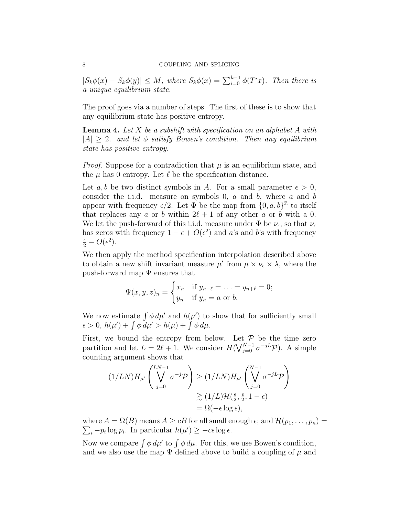#### 8 COUPLING AND SPLICING

 $|S_k\phi(x) - S_k\phi(y)| \leq M$ , where  $S_k\phi(x) = \sum_{i=0}^{k-1} \phi(T^i x)$ . Then there is a unique equilibrium state.

The proof goes via a number of steps. The first of these is to show that any equilibrium state has positive entropy.

**Lemma 4.** Let X be a subshift with specification on an alphabet A with  $|A| \geq 2$ . and let  $\phi$  satisfy Bowen's condition. Then any equilibrium state has positive entropy.

*Proof.* Suppose for a contradiction that  $\mu$  is an equilibrium state, and the  $\mu$  has 0 entropy. Let  $\ell$  be the specification distance.

Let a, b be two distinct symbols in A. For a small parameter  $\epsilon > 0$ , consider the i.i.d. measure on symbols  $0, a$  and  $b$ , where  $a$  and  $b$ appear with frequency  $\epsilon/2$ . Let  $\Phi$  be the map from  $\{0, a, b\}^{\mathbb{Z}}$  to itself that replaces any a or b within  $2\ell + 1$  of any other a or b with a 0. We let the push-forward of this i.i.d. measure under  $\Phi$  be  $\nu_{\epsilon}$ , so that  $\nu_{\epsilon}$ has zeros with frequency  $1 - \epsilon + O(\epsilon^2)$  and a's and b's with frequency  $\frac{\epsilon}{2} - O(\epsilon^2)$ .

We then apply the method specification interpolation described above to obtain a new shift invariant measure  $\mu'$  from  $\mu \times \nu_{\epsilon} \times \lambda$ , where the push-forward map  $\Psi$  ensures that

$$
\Psi(x, y, z)_n = \begin{cases} x_n & \text{if } y_{n-\ell} = \ldots = y_{n+\ell} = 0; \\ y_n & \text{if } y_n = a \text{ or } b. \end{cases}
$$

We now estimate  $\int \phi \, d\mu'$  and  $h(\mu')$  to show that for sufficiently small  $\epsilon > 0, h(\mu') + \int \phi \, d\mu' > h(\mu) + \int \phi \, d\mu.$ 

First, we bound the entropy from below. Let  $P$  be the time zero partition and let  $L = 2\ell + 1$ . We consider  $H(\bigvee_{j=0}^{N-1} \sigma^{-j}L\mathcal{P})$ . A simple counting argument shows that

$$
(1/LN)H_{\mu'}\left(\bigvee_{j=0}^{LN-1}\sigma^{-j}\mathcal{P}\right) \geq (1/LN)H_{\mu'}\left(\bigvee_{j=0}^{N-1}\sigma^{-jL}\mathcal{P}\right)
$$

$$
\geq (1/L)\mathcal{H}(\frac{\epsilon}{2}, \frac{\epsilon}{2}, 1-\epsilon)
$$

$$
= \Omega(-\epsilon \log \epsilon),
$$

 $\sum_i -p_i \log p_i$ . In particular  $h(\mu') \ge -c\epsilon \log \epsilon$ . where  $A = \Omega(B)$  means  $A \geq cB$  for all small enough  $\epsilon$ ; and  $\mathcal{H}(p_1, \ldots, p_n)$ 

Now we compare  $\int \phi \, d\mu'$  to  $\int \phi \, d\mu$ . For this, we use Bowen's condition, and we also use the map  $\Psi$  defined above to build a coupling of  $\mu$  and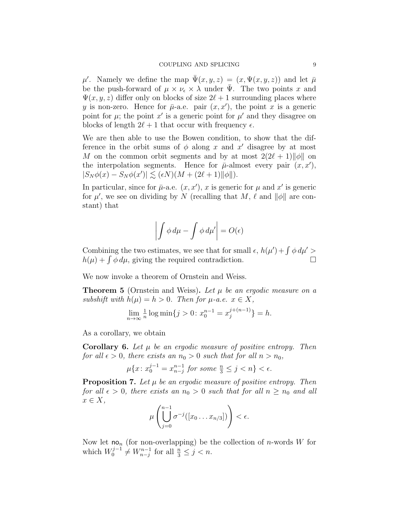$\mu'$ . Namely we define the map  $\bar{\Psi}(x, y, z) = (x, \Psi(x, y, z))$  and let  $\bar{\mu}$ be the push-forward of  $\mu \times \nu_{\epsilon} \times \lambda$  under  $\Psi$ . The two points x and  $\Psi(x, y, z)$  differ only on blocks of size  $2\ell + 1$  surrounding places where y is non-zero. Hence for  $\bar{\mu}$ -a.e. pair  $(x, x')$ , the point x is a generic point for  $\mu$ ; the point  $x'$  is a generic point for  $\mu'$  and they disagree on blocks of length  $2\ell + 1$  that occur with frequency  $\epsilon$ .

We are then able to use the Bowen condition, to show that the difference in the orbit sums of  $\phi$  along x and x' disagree by at most M on the common orbit segments and by at most  $2(2\ell + 1)\|\phi\|$  on the interpolation segments. Hence for  $\bar{\mu}$ -almost every pair  $(x, x')$ ,  $|S_N \phi(x) - S_N \phi(x')| \lesssim (\epsilon N)(M + (2\ell + 1) \|\phi\|).$ 

In particular, since for  $\bar{\mu}$ -a.e.  $(x, x')$ , x is generic for  $\mu$  and  $x'$  is generic for  $\mu'$ , we see on dividing by N (recalling that M,  $\ell$  and  $\|\phi\|$  are constant) that

$$
\left| \int \phi \, d\mu - \int \phi \, d\mu' \right| = O(\epsilon)
$$

Combining the two estimates, we see that for small  $\epsilon$ ,  $h(\mu') + \int \phi \, d\mu'$  $h(\mu) + \int \phi \, d\mu$ , giving the required contradiction.

We now invoke a theorem of Ornstein and Weiss.

**Theorem 5** (Ornstein and Weiss). Let  $\mu$  be an ergodic measure on a subshift with  $h(\mu) = h > 0$ . Then for  $\mu$ -a.e.  $x \in X$ ,

$$
\lim_{n \to \infty} \frac{1}{n} \log \min \{ j > 0 \colon x_0^{n-1} = x_j^{j+(n-1)} \} = h.
$$

As a corollary, we obtain

**Corollary 6.** Let  $\mu$  be an ergodic measure of positive entropy. Then for all  $\epsilon > 0$ , there exists an  $n_0 > 0$  such that for all  $n > n_0$ ,

$$
\mu\{x \colon x_0^{j-1} = x_{n-j}^{n-1} \text{ for some } \frac{n}{3} \le j < n\} < \epsilon.
$$

**Proposition 7.** Let  $\mu$  be an ergodic measure of positive entropy. Then for all  $\epsilon > 0$ , there exists an  $n_0 > 0$  such that for all  $n \geq n_0$  and all  $x \in X$ ,

$$
\mu\left(\bigcup_{j=0}^{n-1}\sigma^{-j}([x_0\ldots x_{n/3}])\right)<\epsilon.
$$

Now let  $\mathsf{no}_n$  (for non-overlapping) be the collection of *n*-words W for which  $W_0^{j-1} \neq W_{n-j}^{n-1}$  for all  $\frac{n}{3} \leq j < n$ .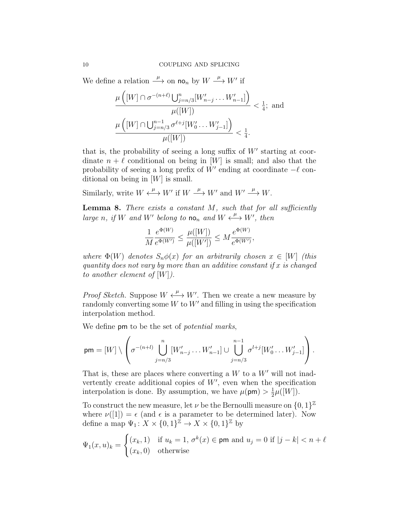We define a relation  $\xrightarrow{\mu}$  on  $\mathsf{no}_n$  by  $W \xrightarrow{\mu} W'$  if

$$
\frac{\mu\left([W] \cap \sigma^{-(n+\ell)}\bigcup_{j=n/3}^{n}[W'_{n-j}\dots W'_{n-1}]\right)}{\mu([W])} < \frac{1}{4}; \text{ and}
$$
\n
$$
\frac{\mu\left([W] \cap \bigcup_{j=n/3}^{n-1} \sigma^{\ell+j}[W'_{0}\dots W'_{j-1}]\right)}{\mu([W])} < \frac{1}{4}.
$$

that is, the probability of seeing a long suffix of  $W'$  starting at coordinate  $n + \ell$  conditional on being in [W] is small; and also that the probability of seeing a long prefix of  $W'$  ending at coordinate  $-\ell$  conditional on being in  $[W]$  is small.

Similarly, write  $W \stackrel{\mu}{\longleftrightarrow} W'$  if  $W \stackrel{\mu}{\longrightarrow} W'$  and  $W' \stackrel{\mu}{\longrightarrow} W$ .

**Lemma 8.** There exists a constant  $M$ , such that for all sufficiently large n, if W and W' belong to  $\mathsf{no}_n$  and  $W \xleftrightarrow{\mu} W'$ , then

$$
\frac{1}{M} \frac{e^{\Phi(W)}}{e^{\Phi(W')}} \le \frac{\mu([W])}{\mu([W'])} \le M \frac{e^{\Phi(W)}}{e^{\Phi(W')}},
$$

where  $\Phi(W)$  denotes  $S_n\phi(x)$  for an arbitrarily chosen  $x \in [W]$  (this quantity does not vary by more than an additive constant if  $x$  is changed to another element of  $[W]$ ).

*Proof Sketch.* Suppose  $W \stackrel{\mu}{\longleftrightarrow} W'$ . Then we create a new measure by randomly converting some  $W$  to  $W'$  and filling in using the specification interpolation method.

We define **pm** to be the set of *potential marks*,

$$
\mathsf{pm} = [W] \setminus \left( \sigma^{-(n+l)} \bigcup_{j=n/3}^{n} [W'_{n-j} \dots W'_{n-1}] \cup \bigcup_{j=n/3}^{n-1} \sigma^{l+j} [W'_{0} \dots W'_{j-1}] \right).
$$

That is, these are places where converting a  $W$  to a  $W'$  will not inadvertently create additional copies of  $W'$ , even when the specification interpolation is done. By assumption, we have  $\mu(pm) > \frac{1}{2}$  $\frac{1}{2}\mu([W]).$ 

To construct the new measure, let  $\nu$  be the Bernoulli measure on  $\{0,1\}^{\mathbb{Z}}$ where  $\nu([1]) = \epsilon$  (and  $\epsilon$  is a parameter to be determined later). Now define a map  $\Psi_1: X \times \{0,1\}^{\mathbb{Z}} \to X \times \{0,1\}^{\mathbb{Z}}$  by

$$
\Psi_1(x, u)_k = \begin{cases} (x_k, 1) & \text{if } u_k = 1, \sigma^k(x) \in \text{pm and } u_j = 0 \text{ if } |j - k| < n + \ell \\ (x_k, 0) & \text{otherwise} \end{cases}
$$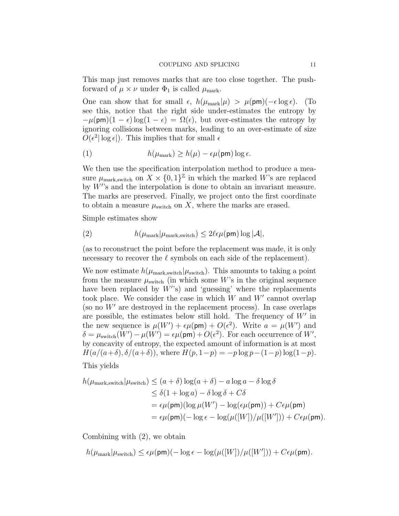This map just removes marks that are too close together. The pushforward of  $\mu \times \nu$  under  $\Phi_1$  is called  $\mu_{\text{mark}}$ .

One can show that for small  $\epsilon$ ,  $h(\mu_{\text{mark}}|\mu) > \mu(\text{pm})(-\epsilon \log \epsilon)$ . (To see this, notice that the right side under-estimates the entropy by  $-\mu(\text{pm})(1-\epsilon)\log(1-\epsilon) = \Omega(\epsilon)$ , but over-estimates the entropy by ignoring collisions between marks, leading to an over-estimate of size  $O(\epsilon^2 |\log \epsilon|)$ . This implies that for small  $\epsilon$ 

(1) 
$$
h(\mu_{\text{mark}}) \ge h(\mu) - \epsilon \mu(\text{pm}) \log \epsilon.
$$

We then use the specification interpolation method to produce a measure  $\mu_{\text{mark,switch}}$  on  $X \times \{0,1\}^{\mathbb{Z}}$  in which the marked W's are replaced by  $W$ 's and the interpolation is done to obtain an invariant measure. The marks are preserved. Finally, we project onto the first coordinate to obtain a measure  $\mu_{switch}$  on X, where the marks are erased.

Simple estimates show

(2) 
$$
h(\mu_{\text{mark}}|\mu_{\text{mark},\text{switch}}) \leq 2\ell\epsilon\mu(\text{pm})\log|\mathcal{A}|,
$$

(as to reconstruct the point before the replacement was made, it is only necessary to recover the  $\ell$  symbols on each side of the replacement).

We now estimate  $h(\mu_{\text{mark},\text{switch}}|\mu_{\text{switch}})$ . This amounts to taking a point from the measure  $\mu_{\text{switch}}$  (in which some W's in the original sequence have been replaced by  $W$ 's) and 'guessing' where the replacements took place. We consider the case in which  $W$  and  $W'$  cannot overlap (so no  $W'$  are destroyed in the replacement process). In case overlaps are possible, the estimates below still hold. The frequency of  $W'$  in the new sequence is  $\mu(W') + \epsilon \mu(\mathsf{p}\mathsf{m}) + O(\epsilon^2)$ . Write  $a = \mu(W')$  and  $\delta = \mu_{\text{switch}}(W') - \mu(W') = \epsilon \mu(\text{pm}) + O(\epsilon^2)$ . For each occurrence of W', by concavity of entropy, the expected amount of information is at most  $H(a/(a+\delta), \delta/(a+\delta))$ , where  $H(p, 1-p) = -p \log p - (1-p) \log(1-p)$ .

This yields

$$
h(\mu_{\text{mark},\text{switch}}|\mu_{\text{switch}}) \le (a+\delta)\log(a+\delta) - a\log a - \delta\log\delta
$$
  
\n
$$
\le \delta(1+\log a) - \delta\log\delta + C\delta
$$
  
\n
$$
= \epsilon\mu(\text{pm})(\log\mu(W') - \log(\epsilon\mu(\text{pm})) + C\epsilon\mu(\text{pm})
$$
  
\n
$$
= \epsilon\mu(\text{pm})(-\log\epsilon - \log(\mu([W])/\mu([W'])) + C\epsilon\mu(\text{pm}).
$$

Combining with (2), we obtain

 $h(\mu_{\text{mark}}|\mu_{\text{switch}}) \leq \epsilon \mu(\textsf{pm})(-\log \epsilon - \log(\mu([W]) / \mu([W])) + C \epsilon \mu(\textsf{pm}).$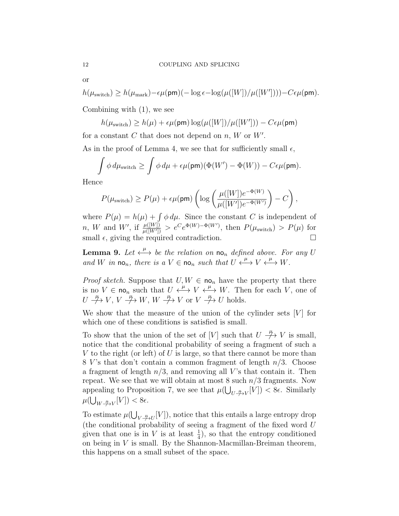or

$$
h(\mu_{\text{switch}}) \ge h(\mu_{\text{mark}}) - \epsilon \mu(\text{pm}) (-\log \epsilon - \log(\mu([W]) / \mu([W'])) - C \epsilon \mu(\text{pm}).
$$

Combining with (1), we see

$$
h(\mu_{\text{switch}}) \ge h(\mu) + \epsilon \mu(\text{pm}) \log(\mu([W]) / \mu([W']) - C\epsilon \mu(\text{pm})
$$

for a constant C that does not depend on  $n, W$  or  $W'$ .

As in the proof of Lemma 4, we see that for sufficiently small  $\epsilon$ ,

$$
\int \phi \, d\mu_{\rm switch} \ge \int \phi \, d\mu + \epsilon \mu(\mathsf{pm}) (\Phi(W') - \Phi(W)) - C \epsilon \mu(\mathsf{pm}).
$$

Hence

$$
P(\mu_{\text{switch}}) \ge P(\mu) + \epsilon \mu(\text{pm}) \left( \log \left( \frac{\mu([W])e^{-\Phi(W)}}{\mu([W'])e^{-\Phi(W')}} \right) - C \right),
$$

where  $P(\mu) = h(\mu) + \int \phi \, d\mu$ . Since the constant C is independent of n, W and W', if  $\frac{\mu([W])}{\mu([W'])} > e^C e^{\Phi(W)-\Phi(W')}$ , then  $P(\mu_{\text{switch}}) > P(\mu)$  for small  $\epsilon$ , giving the required contradiction.

**Lemma 9.** Let  $\xleftarrow{\mu}$  be the relation on no<sub>n</sub> defined above. For any U and W in  $\mathsf{no}_n$ , there is a  $V \in \mathsf{no}_n$  such that  $U \xleftarrow{\mu} V \xleftarrow{\mu} W$ .

*Proof sketch.* Suppose that  $U, W \in \mathbf{no}_n$  have the property that there is no  $V \in \text{no}_n$  such that  $U \xleftrightarrow{\mu} V \xleftrightarrow{\mu} W$ . Then for each V, one of  $U \nrightarrow{\mu} V, V \nrightarrow{\mu} W, W \nrightarrow{\mu} V \text{ or } V \nrightarrow{\mu} U \text{ holds.}$ 

We show that the measure of the union of the cylinder sets  $[V]$  for which one of these conditions is satisfied is small.

To show that the union of the set of [V] such that  $U \stackrel{\mu}{\rightarrow} V$  is small, notice that the conditional probability of seeing a fragment of such a V to the right (or left) of U is large, so that there cannot be more than 8 V's that don't contain a common fragment of length  $n/3$ . Choose a fragment of length  $n/3$ , and removing all V's that contain it. Then repeat. We see that we will obtain at most 8 such  $n/3$  fragments. Now appealing to Proposition 7, we see that  $\mu(\bigcup_{U \text{ with } V} [V]) < 8\epsilon$ . Similarly  $\mu(\bigcup_{W \stackrel{\mu}{\to} V}[V]) < 8\epsilon.$ 

To estimate  $\mu(\bigcup_{V \stackrel{\mu}{\to} U}[V])$ , notice that this entails a large entropy drop (the conditional probability of seeing a fragment of the fixed word U given that one is in V is at least  $\frac{1}{4}$ , so that the entropy conditioned on being in V is small. By the Shannon-Macmillan-Breiman theorem, this happens on a small subset of the space.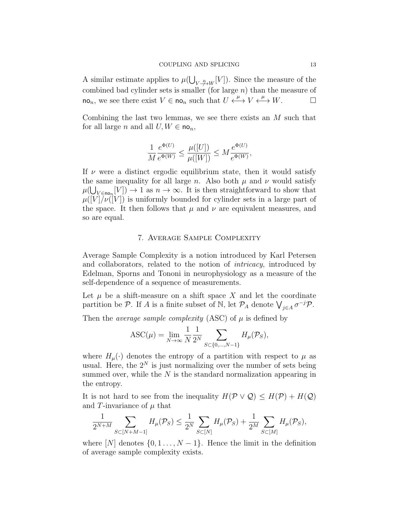A similar estimate applies to  $\mu(\bigcup_{V \stackrel{\mu}{\to} W}[V])$ . Since the measure of the combined bad cylinder sets is smaller (for large  $n$ ) than the measure of  $\mathsf{no}_n$ , we see there exist  $V \in \mathsf{no}_n$  such that  $U \xleftarrow{\mu} V \xleftarrow{\mu} W$ .

Combining the last two lemmas, we see there exists an M such that for all large n and all  $U, W \in \mathsf{no}_n$ ,

$$
\frac{1}{M} \frac{e^{\Phi(U)}}{e^{\Phi(W)}} \le \frac{\mu([U])}{\mu([W])} \le M \frac{e^{\Phi(U)}}{e^{\Phi(W)}},
$$

If  $\nu$  were a distinct ergodic equilibrium state, then it would satisfy the same inequality for all large n. Also both  $\mu$  and  $\nu$  would satisfy  $\mu(\bigcup_{V \in \text{no}_n}[V]) \to 1$  as  $n \to \infty$ . It is then straightforward to show that  $\mu([V]/\nu([V])$  is uniformly bounded for cylinder sets in a large part of the space. It then follows that  $\mu$  and  $\nu$  are equivalent measures, and so are equal.

## 7. Average Sample Complexity

Average Sample Complexity is a notion introduced by Karl Petersen and collaborators, related to the notion of intricacy, introduced by Edelman, Sporns and Tononi in neurophysiology as a measure of the self-dependence of a sequence of measurements.

Let  $\mu$  be a shift-measure on a shift space X and let the coordinate partition be  $\mathcal{P}$ . If A is a finite subset of N, let  $\mathcal{P}_A$  denote  $\bigvee_{j\in A}\sigma^{-j}\mathcal{P}$ .

Then the *average sample complexity* (ASC) of  $\mu$  is defined by

$$
\text{ASC}(\mu) = \lim_{N \to \infty} \frac{1}{N} \frac{1}{2^N} \sum_{S \subset \{0, \dots, N-1\}} H_{\mu}(\mathcal{P}_S),
$$

where  $H_{\mu}(\cdot)$  denotes the entropy of a partition with respect to  $\mu$  as usual. Here, the  $2^N$  is just normalizing over the number of sets being summed over, while the  $N$  is the standard normalization appearing in the entropy.

It is not hard to see from the inequality  $H(\mathcal{P} \vee \mathcal{Q}) \leq H(\mathcal{P}) + H(\mathcal{Q})$ and T-invariance of  $\mu$  that

$$
\frac{1}{2^{N+M}} \sum_{S \subset [N+M-1]} H_{\mu}(\mathcal{P}_S) \le \frac{1}{2^N} \sum_{S \subset [N]} H_{\mu}(\mathcal{P}_S) + \frac{1}{2^M} \sum_{S \subset [M]} H_{\mu}(\mathcal{P}_S),
$$

where  $[N]$  denotes  $\{0, 1, \ldots, N-1\}$ . Hence the limit in the definition of average sample complexity exists.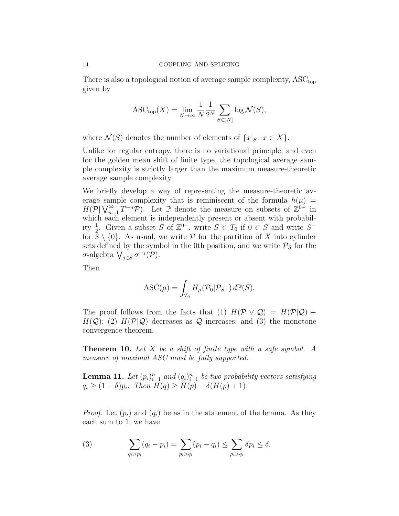There is also a topological notion of average sample complexity,  $\mathrm{ASC}_{\mathrm{top}}$ given by

$$
\text{ASC}_{\text{top}}(X) = \lim_{N \to \infty} \frac{1}{N} \frac{1}{2^N} \sum_{S \subset [N]} \log \mathcal{N}(S),
$$

where  $\mathcal{N}(S)$  denotes the number of elements of  $\{x|_S : x \in X\}$ .

Unlike for regular entropy, there is no variational principle, and even for the golden mean shift of finite type, the topological average sample complexity is strictly larger than the maximum measure-theoretic average sample complexity.

We briefly develop a way of representing the measure-theoretic average sample complexity that is reminiscent of the formula  $h(\mu)$  =  $H(\mathcal{P}|\bigvee_{n=1}^{\infty}T^{-n}\mathcal{P})$ . Let  $\mathbb P$  denote the measure on subsets of  $\mathbb{Z}^{0-}$  in which each element is independently present or absent with probability  $\frac{1}{2}$ . Given a subset S of  $\mathbb{Z}^{0-}$ , write  $S \in T_0$  if  $0 \in S$  and write  $S^$ for  $S \setminus \{0\}$ . As usual, we write P for the partition of X into cylinder sets defined by the symbol in the 0th position, and we write  $P<sub>S</sub>$  for the σ-algebra  $\bigvee_{j\in S}\sigma^{-j}(\mathcal{P})$ .

Then

$$
\text{ASC}(\mu) = \int_{T_0} H_{\mu}(\mathcal{P}_0 | \mathcal{P}_{S^-}) \, d\mathbb{P}(S).
$$

The proof follows from the facts that (1)  $H(\mathcal{P} \vee \mathcal{Q}) = H(\mathcal{P} | \mathcal{Q}) +$  $H(Q)$ ; (2)  $H(\mathcal{P}|\mathcal{Q})$  decreases as  $\mathcal Q$  increases; and (3) the monotone convergence theorem.

**Theorem 10.** Let X be a shift of finite type with a safe symbol. A measure of maximal ASC must be fully supported.

**Lemma 11.** Let  $(p_i)_{i=1}^n$  and  $(q_i)_{i=1}^n$  be two probability vectors satisfying  $q_i \geq (1 - \delta)p_i$ . Then  $H(q) \geq H(p) - \delta(H(p) + 1)$ .

*Proof.* Let  $(p_i)$  and  $(q_i)$  be as in the statement of the lemma. As they each sum to 1, we have

(3) 
$$
\sum_{q_i > p_i} (q_i - p_i) = \sum_{p_i > q_i} (p_i - q_i) \leq \sum_{p_i > q_i} \delta p_i \leq \delta.
$$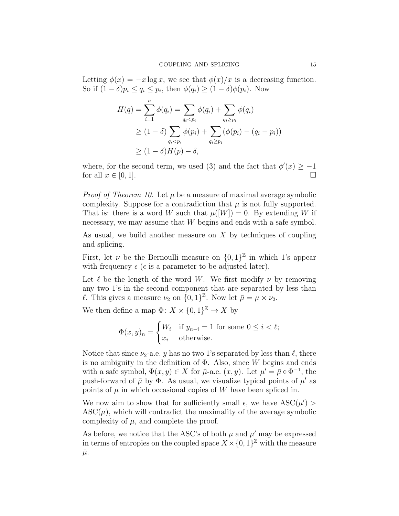Letting  $\phi(x) = -x \log x$ , we see that  $\phi(x)/x$  is a decreasing function. So if  $(1 - \delta)p_i \le q_i \le p_i$ , then  $\phi(q_i) \ge (1 - \delta)\phi(p_i)$ . Now

$$
H(q) = \sum_{i=1}^{n} \phi(q_i) = \sum_{q_i < p_i} \phi(q_i) + \sum_{q_i \ge p_i} \phi(q_i)
$$
\n
$$
\ge (1 - \delta) \sum_{q_i < p_i} \phi(p_i) + \sum_{q_i \ge p_i} (\phi(p_i) - (q_i - p_i))
$$
\n
$$
\ge (1 - \delta)H(p) - \delta,
$$

where, for the second term, we used (3) and the fact that  $\phi'(x) \geq -1$ for all  $x \in [0,1]$ .

*Proof of Theorem 10.* Let  $\mu$  be a measure of maximal average symbolic complexity. Suppose for a contradiction that  $\mu$  is not fully supported. That is: there is a word W such that  $\mu([W]) = 0$ . By extending W if necessary, we may assume that W begins and ends with a safe symbol.

As usual, we build another measure on  $X$  by techniques of coupling and splicing.

First, let  $\nu$  be the Bernoulli measure on  $\{0,1\}^{\mathbb{Z}}$  in which 1's appear with frequency  $\epsilon$  ( $\epsilon$  is a parameter to be adjusted later).

Let  $\ell$  be the length of the word W. We first modify  $\nu$  by removing any two 1's in the second component that are separated by less than l. This gives a measure  $\nu_2$  on  $\{0,1\}^{\mathbb{Z}}$ . Now let  $\bar{\mu} = \mu \times \nu_2$ .

We then define a map  $\Phi: X \times \{0,1\}^{\mathbb{Z}} \to X$  by

$$
\Phi(x, y)_n = \begin{cases} W_i & \text{if } y_{n-i} = 1 \text{ for some } 0 \le i < \ell; \\ x_i & \text{otherwise.} \end{cases}
$$

Notice that since  $\nu_2$ -a.e. y has no two 1's separated by less than  $\ell$ , there is no ambiguity in the definition of  $\Phi$ . Also, since W begins and ends with a safe symbol,  $\Phi(x, y) \in X$  for  $\bar{\mu}$ -a.e.  $(x, y)$ . Let  $\mu' = \bar{\mu} \circ \Phi^{-1}$ , the push-forward of  $\bar{\mu}$  by  $\Phi$ . As usual, we visualize typical points of  $\mu'$  as points of  $\mu$  in which occasional copies of W have been spliced in.

We now aim to show that for sufficiently small  $\epsilon$ , we have  $\text{ASC}(\mu')$  $\text{ASC}(\mu)$ , which will contradict the maximality of the average symbolic complexity of  $\mu$ , and complete the proof.

As before, we notice that the ASC's of both  $\mu$  and  $\mu'$  may be expressed in terms of entropies on the coupled space  $X \times \{0,1\}^{\mathbb{Z}}$  with the measure  $\bar{\mu}$ .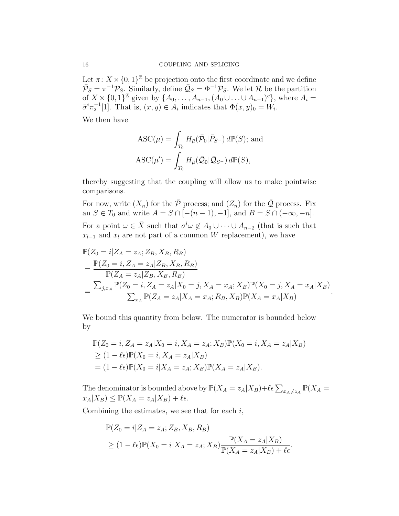Let  $\pi: X \times \{0,1\}^{\mathbb{Z}}$  be projection onto the first coordinate and we define  $\bar{\mathcal{P}}_S = \pi^{-1} \mathcal{P}_S$ . Similarly, define  $\bar{\mathcal{Q}}_S = \Phi^{-1} \mathcal{P}_S$ . We let R be the partition of  $X \times \{0,1\}^{\mathbb{Z}}$  given by  $\{A_0,\ldots,A_{n-1},(A_0 \cup \ldots \cup A_{n-1})^c\}$ , where  $A_i =$  $\bar{\sigma}^i \pi_2^{-1}[1]$ . That is,  $(x, y) \in A_i$  indicates that  $\Phi(x, y)_0 = W_i$ .

We then have

$$
\begin{aligned} \text{ASC}(\mu) &= \int_{T_0} H_{\bar{\mu}}(\bar{\mathcal{P}}_0 | \bar{P}_{S^-}) \, d\mathbb{P}(S); \text{ and} \\ \text{ASC}(\mu') &= \int_{T_0} H_{\bar{\mu}}(\bar{\mathcal{Q}}_0 | \bar{\mathcal{Q}}_{S^-}) \, d\mathbb{P}(S), \end{aligned}
$$

thereby suggesting that the coupling will allow us to make pointwise comparisons.

For now, write  $(X_n)$  for the  $\overline{P}$  process; and  $(Z_n)$  for the  $\overline{Q}$  process. Fix an  $S \in T_0$  and write  $A = S \cap \overline{[-(n-1), -1]}$ , and  $B = S \cap \overline{(-\infty, -n]}$ . For a point  $\omega \in \bar{X}$  such that  $\sigma^l \omega \notin A_0 \cup \cdots \cup A_{n-2}$  (that is such that  $x_{l-1}$  and  $x_l$  are not part of a common W replacement), we have

$$
\mathbb{P}(Z_0 = i | Z_A = z_A; Z_B, X_B, R_B)
$$
\n
$$
= \frac{\mathbb{P}(Z_0 = i, Z_A = z_A | Z_B, X_B, R_B)}{\mathbb{P}(Z_A = z_A | Z_B, X_B, R_B)}
$$
\n
$$
= \frac{\sum_{j,x_A} \mathbb{P}(Z_0 = i, Z_A = z_A | X_0 = j, X_A = x_A; X_B) \mathbb{P}(X_0 = j, X_A = x_A | X_B)}{\sum_{x_A} \mathbb{P}(Z_A = z_A | X_A = x_A; R_B, X_B) \mathbb{P}(X_A = x_A | X_B)}
$$

.

We bound this quantity from below. The numerator is bounded below by

$$
\mathbb{P}(Z_0 = i, Z_A = z_A | X_0 = i, X_A = z_A; X_B) \mathbb{P}(X_0 = i, X_A = z_A | X_B) \n\ge (1 - \ell \epsilon) \mathbb{P}(X_0 = i, X_A = z_A | X_B) \n= (1 - \ell \epsilon) \mathbb{P}(X_0 = i | X_A = z_A; X_B) \mathbb{P}(X_A = z_A | X_B).
$$

The denominator is bounded above by  $\mathbb{P}(X_A = z_A | X_B) + \ell \epsilon \sum_{x_A \neq z_A} \mathbb{P}(X_A = z_A | X_B)$  $x_A|X_B) \leq \mathbb{P}(X_A = z_A|X_B) + \ell \epsilon.$ 

Combining the estimates, we see that for each  $i$ ,

$$
\mathbb{P}(Z_0 = i | Z_A = z_A; Z_B, X_B, R_B)
$$
  
\n
$$
\geq (1 - \ell \epsilon) \mathbb{P}(X_0 = i | X_A = z_A; X_B) \frac{\mathbb{P}(X_A = z_A | X_B)}{\mathbb{P}(X_A = z_A | X_B) + \ell \epsilon}.
$$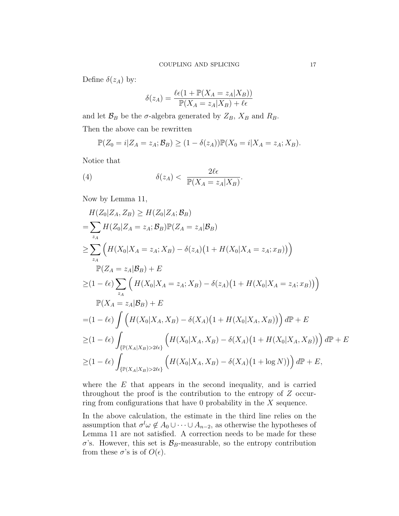Define  $\delta(z_A)$  by:

$$
\delta(z_A) = \frac{\ell \epsilon (1 + \mathbb{P}(X_A = z_A | X_B))}{\mathbb{P}(X_A = z_A | X_B) + \ell \epsilon}
$$

and let  $\mathcal{B}_B$  be the  $\sigma$ -algebra generated by  $Z_B$ ,  $X_B$  and  $R_B$ . Then the above can be rewritten

$$
\mathbb{P}(Z_0=i|Z_A=z_A;\mathcal{B}_B)\geq (1-\delta(z_A))\mathbb{P}(X_0=i|X_A=z_A;X_B).
$$

Notice that

(4) 
$$
\delta(z_A) < \frac{2\ell\epsilon}{\mathbb{P}(X_A = z_A | X_B)}.
$$

Now by Lemma 11,

$$
H(Z_0|Z_A, Z_B) \ge H(Z_0|Z_A; \mathcal{B}_B)
$$
  
=  $\sum_{z_A} H(Z_0|Z_A = z_A; \mathcal{B}_B) \mathbb{P}(Z_A = z_A|\mathcal{B}_B)$   
 $\ge \sum_{z_A} (H(X_0|X_A = z_A; X_B) - \delta(z_A)(1 + H(X_0|X_A = z_A; x_B)))$   
 $\mathbb{P}(Z_A = z_A|\mathcal{B}_B) + E$   
 $\ge (1 - \ell \epsilon) \sum_{z_A} (H(X_0|X_A = z_A; X_B) - \delta(z_A)(1 + H(X_0|X_A = z_A; x_B)))$   
 $\mathbb{P}(X_A = z_A|\mathcal{B}_B) + E$   
 $= (1 - \ell \epsilon) \int (H(X_0|X_A, X_B) - \delta(X_A)(1 + H(X_0|X_A, X_B))) \, d\mathbb{P} + E$   
 $\ge (1 - \ell \epsilon) \int_{\{\mathbb{P}(X_A|X_B) > 2\ell \epsilon\}} (H(X_0|X_A, X_B) - \delta(X_A)(1 + H(X_0|X_A, X_B))) \, d\mathbb{P} + E$   
 $\ge (1 - \ell \epsilon) \int_{\{\mathbb{P}(X_A|X_B) > 2\ell \epsilon\}} (H(X_0|X_A, X_B) - \delta(X_A)(1 + \log N)) \, d\mathbb{P} + E,$ 

where the  $E$  that appears in the second inequality, and is carried throughout the proof is the contribution to the entropy of Z occurring from configurations that have 0 probability in the  $X$  sequence.

In the above calculation, the estimate in the third line relies on the assumption that  $\sigma^l \omega \notin A_0 \cup \cdots \cup A_{n-2}$ , as otherwise the hypotheses of Lemma 11 are not satisfied. A correction needs to be made for these  $\sigma$ 's. However, this set is  $\mathcal{B}_B$ -measurable, so the entropy contribution from these  $\sigma$ 's is of  $O(\epsilon)$ .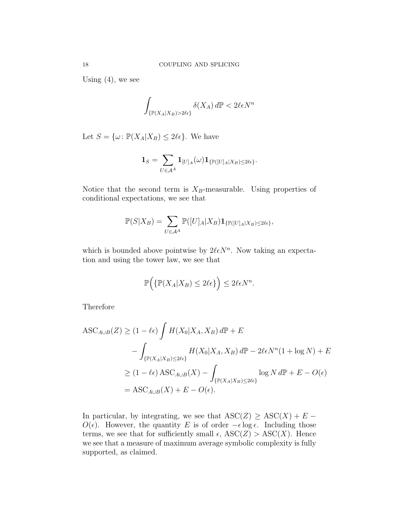Using  $(4)$ , we see

$$
\int_{\{\mathbb{P}(X_A|X_B)>2\ell\epsilon\}} \delta(X_A) d\mathbb{P} < 2\ell\epsilon N^n
$$

Let  $S = {\omega : \mathbb{P}(X_A | X_B) \leq 2\ell\epsilon}.$  We have

$$
\mathbf{1}_S = \sum_{U \in \mathcal{A}^A} \mathbf{1}_{[U]_A}(\omega) \mathbf{1}_{\{\mathbb{P}([U]_A | X_B) \le 2\ell\epsilon\}}.
$$

Notice that the second term is  $X_B$ -measurable. Using properties of conditional expectations, we see that

$$
\mathbb{P}(S|X_B) = \sum_{U \in \mathcal{A}^A} \mathbb{P}([U]_A|X_B) \mathbf{1}_{\{\mathbb{P}([U]_A|X_B) \le 2\ell\epsilon\}},
$$

which is bounded above pointwise by  $2\ell \epsilon N^n$ . Now taking an expectation and using the tower law, we see that

$$
\mathbb{P}\Big(\{\mathbb{P}(X_A|X_B)\leq 2\ell\epsilon\}\Big)\leq 2\ell\epsilon N^n.
$$

Therefore

$$
\begin{aligned} \text{ASC}_{A \cup B}(Z) &\ge (1 - \ell \epsilon) \int H(X_0 | X_A, X_B) \, d\mathbb{P} + E \\ &- \int_{\{\mathbb{P}(X_A | X_B) \le 2\ell \epsilon\}} H(X_0 | X_A, X_B) \, d\mathbb{P} - 2\ell \epsilon N^n (1 + \log N) + E \\ &\ge (1 - \ell \epsilon) \, \text{ASC}_{A \cup B}(X) - \int_{\{\mathbb{P}(X_A | X_B) \le 2\ell \epsilon\}} \log N \, d\mathbb{P} + E - O(\epsilon) \\ &= \text{ASC}_{A \cup B}(X) + E - O(\epsilon). \end{aligned}
$$

In particular, by integrating, we see that  $\text{ASC}(Z) \geq \text{ASC}(X) + E O(\epsilon)$ . However, the quantity E is of order  $-\epsilon \log \epsilon$ . Including those terms, we see that for sufficiently small  $\epsilon$ ,  $\text{ASC}(Z) > \text{ASC}(X)$ . Hence we see that a measure of maximum average symbolic complexity is fully supported, as claimed.